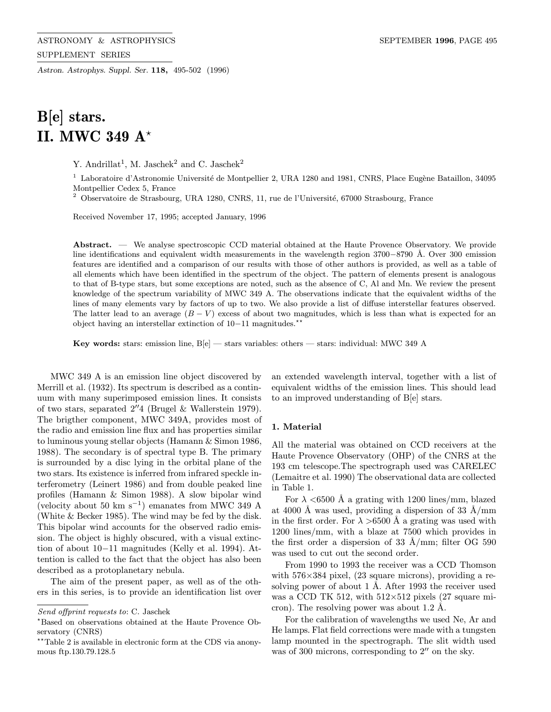Astron. Astrophys. Suppl. Ser. 118, 495-502 (1996)

# B[e] stars. II. MWC 349 A\*

Y. Andrillat<sup>1</sup>, M. Jaschek<sup>2</sup> and C. Jaschek<sup>2</sup>

<sup>1</sup> Laboratoire d'Astronomie Université de Montpellier 2, URA 1280 and 1981, CNRS, Place Eugène Bataillon, 34095 Montpellier Cedex 5, France

 $2$  Observatoire de Strasbourg, URA 1280, CNRS, 11, rue de l'Université, 67000 Strasbourg, France

Received November 17, 1995; accepted January, 1996

Abstract. — We analyse spectroscopic CCD material obtained at the Haute Provence Observatory. We provide line identifications and equivalent width measurements in the wavelength region 3700−8790 Å. Over 300 emission features are identified and a comparison of our results with those of other authors is provided, as well as a table of all elements which have been identified in the spectrum of the object. The pattern of elements present is analogous to that of B-type stars, but some exceptions are noted, such as the absence of C, Al and Mn. We review the present knowledge of the spectrum variability of MWC 349 A. The observations indicate that the equivalent widths of the lines of many elements vary by factors of up to two. We also provide a list of diffuse interstellar features observed. The latter lead to an average  $(B - V)$  excess of about two magnitudes, which is less than what is expected for an object having an interstellar extinction of 10−11 magnitudes.??

Key words: stars: emission line,  $B[e]$  — stars variables: others — stars: individual: MWC 349 A

MWC 349 A is an emission line object discovered by Merrill et al. (1932). Its spectrum is described as a continuum with many superimposed emission lines. It consists of two stars, separated  $2''4$  (Brugel & Wallerstein 1979). The brigther component, MWC 349A, provides most of the radio and emission line flux and has properties similar to luminous young stellar objects (Hamann & Simon 1986, 1988). The secondary is of spectral type B. The primary is surrounded by a disc lying in the orbital plane of the two stars. Its existence is inferred from infrared speckle interferometry (Leinert 1986) and from double peaked line profiles (Hamann & Simon 1988). A slow bipolar wind (velocity about 50 km s<sup>-1</sup>) emanates from MWC 349 A (White & Becker 1985). The wind may be fed by the disk. This bipolar wind accounts for the observed radio emission. The object is highly obscured, with a visual extinction of about 10−11 magnitudes (Kelly et al. 1994). Attention is called to the fact that the object has also been described as a protoplanetary nebula.

The aim of the present paper, as well as of the others in this series, is to provide an identification list over an extended wavelength interval, together with a list of equivalent widths of the emission lines. This should lead to an improved understanding of B[e] stars.

#### 1. Material

All the material was obtained on CCD receivers at the Haute Provence Observatory (OHP) of the CNRS at the 193 cm telescope.The spectrograph used was CARELEC (Lemaitre et al. 1990) The observational data are collected in Table 1.

For  $\lambda$  <6500 Å a grating with 1200 lines/mm, blazed at 4000 Å was used, providing a dispersion of 33 Å/mm in the first order. For  $\lambda > 6500$  Å a grating was used with 1200 lines/mm, with a blaze at 7500 which provides in the first order a dispersion of 33  $\rm{\AA/mm}$ ; filter OG 590 was used to cut out the second order.

From 1990 to 1993 the receiver was a CCD Thomson with  $576\times384$  pixel, (23 square microns), providing a resolving power of about 1 Å. After 1993 the receiver used was a CCD TK 512, with  $512\times512$  pixels (27 square micron). The resolving power was about  $1.2 \text{ Å}.$ 

For the calibration of wavelengths we used Ne, Ar and He lamps. Flat field corrections were made with a tungsten lamp mounted in the spectrograph. The slit width used was of 300 microns, corresponding to  $2^{\prime\prime}$  on the sky.

Send offprint requests to: C. Jaschek

<sup>?</sup>Based on observations obtained at the Haute Provence Observatory (CNRS)

<sup>\*\*</sup>Table 2 is available in electronic form at the CDS via anonymous ftp.130.79.128.5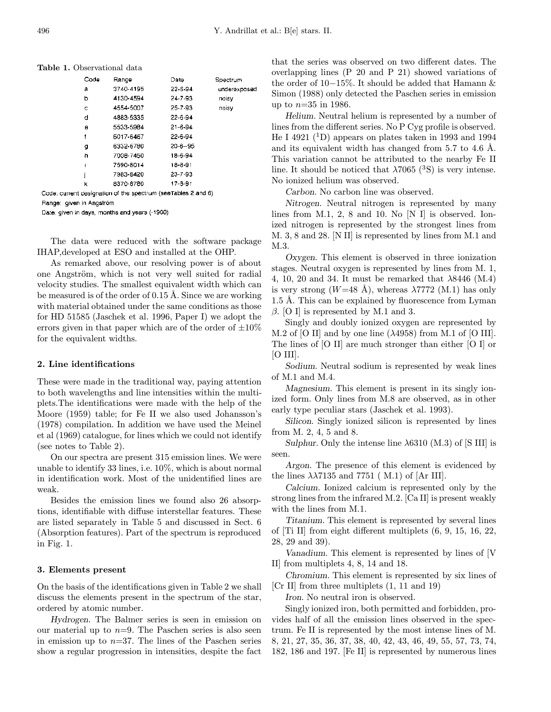Table 1. Observational data

| Code | Range     | Date          | Spectrum     |
|------|-----------|---------------|--------------|
| а    | 3740-4195 | 22-6-94       | underexposed |
| ь    | 4130-4594 | 24-7-93       | naisv        |
| с    | 4554-5007 | 25-7-93       | noisy        |
| d    | 4883-5335 | $22 - 6 - 94$ |              |
| Θ    | 5533-5984 | $21 - 6 - 94$ |              |
| f    | 6017-6467 | $22 - 6 - 94$ |              |
| g    | 6332-6780 | $20 - 6 - 95$ |              |
| h    | 7008-7450 | 18-6-94       |              |
| ı    | 7590-8014 | 18-8-91       |              |
| İ    | 7983-8420 | 23-7-93       |              |
| k    | 8370-8780 | 17-8-91       |              |
|      |           |               |              |

Code: current designation of the spectrum (see Tables 2 and 6) Range: given in Angström

Date: given in days, months and years (-1900)

The data were reduced with the software package IHAP,developed at ESO and installed at the OHP.

As remarked above, our resolving power is of about one Angström, which is not very well suited for radial velocity studies. The smallest equivalent width which can be measured is of the order of  $0.15 \text{ Å}$ . Since we are working with material obtained under the same conditions as those for HD 51585 (Jaschek et al. 1996, Paper I) we adopt the errors given in that paper which are of the order of  $\pm 10\%$ for the equivalent widths.

#### 2. Line identifications

These were made in the traditional way, paying attention to both wavelengths and line intensities within the multiplets.The identifications were made with the help of the Moore (1959) table; for Fe II we also used Johansson's (1978) compilation. In addition we have used the Meinel et al (1969) catalogue, for lines which we could not identify (see notes to Table 2).

On our spectra are present 315 emission lines. We were unable to identify 33 lines, i.e. 10%, which is about normal in identification work. Most of the unidentified lines are weak.

Besides the emission lines we found also 26 absorptions, identifiable with diffuse interstellar features. These are listed separately in Table 5 and discussed in Sect. 6 (Absorption features). Part of the spectrum is reproduced in Fig. 1.

# 3. Elements present

On the basis of the identifications given in Table 2 we shall discuss the elements present in the spectrum of the star, ordered by atomic number.

Hydrogen. The Balmer series is seen in emission on our material up to  $n=9$ . The Paschen series is also seen in emission up to  $n=37$ . The lines of the Paschen series show a regular progression in intensities, despite the fact that the series was observed on two different dates. The overlapping lines (P 20 and P 21) showed variations of the order of 10−15%. It should be added that Hamann & Simon (1988) only detected the Paschen series in emission up to  $n=35$  in 1986.

Helium. Neutral helium is represented by a number of lines from the different series. No P Cyg profile is observed. He I 4921  $(1D)$  appears on plates taken in 1993 and 1994 and its equivalent width has changed from  $5.7$  to  $4.6$  Å. This variation cannot be attributed to the nearby Fe II line. It should be noticed that  $\lambda 7065$  (<sup>3</sup>S) is very intense. No ionized helium was observed.

Carbon. No carbon line was observed.

Nitrogen. Neutral nitrogen is represented by many lines from M.1, 2, 8 and 10. No [N I] is observed. Ionized nitrogen is represented by the strongest lines from M. 3, 8 and 28. [N II] is represented by lines from M.1 and M.3.

Oxygen. This element is observed in three ionization stages. Neutral oxygen is represented by lines from M. 1, 4, 10, 20 and 34. It must be remarked that  $\lambda$ 8446 (M.4) is very strong  $(W=48 \text{ Å})$ , whereas  $\lambda$ 7772 (M.1) has only 1.5 Å. This can be explained by fluorescence from Lyman  $\beta$ . [O I] is represented by M.1 and 3.

Singly and doubly ionized oxygen are represented by M.2 of [O II] and by one line  $(\lambda 4958)$  from M.1 of [O III]. The lines of [O II] are much stronger than either [O I] or  $[O III]$ .

Sodium. Neutral sodium is represented by weak lines of M.1 and M.4.

Magnesium. This element is present in its singly ionized form. Only lines from M.8 are observed, as in other early type peculiar stars (Jaschek et al. 1993).

Silicon. Singly ionized silicon is represented by lines from M. 2, 4, 5 and 8.

Sulphur. Only the intense line  $\lambda$ 6310 (M.3) of [S III] is seen.

Argon. The presence of this element is evidenced by the lines  $\lambda \lambda$ 7135 and 7751 (M.1) of [Ar III].

Calcium. Ionized calcium is represented only by the strong lines from the infrared M.2. [Ca II] is present weakly with the lines from M.1.

Titanium. This element is represented by several lines of [Ti II] from eight different multiplets (6, 9, 15, 16, 22, 28, 29 and 39).

Vanadium. This element is represented by lines of [V II] from multiplets 4, 8, 14 and 18.

Chromium. This element is represented by six lines of [Cr II] from three multiplets (1, 11 and 19)

Iron. No neutral iron is observed.

Singly ionized iron, both permitted and forbidden, provides half of all the emission lines observed in the spectrum. Fe II is represented by the most intense lines of M. 8, 21, 27, 35, 36, 37, 38, 40, 42, 43, 46, 49, 55, 57, 73, 74, 182, 186 and 197. [Fe II] is represented by numerous lines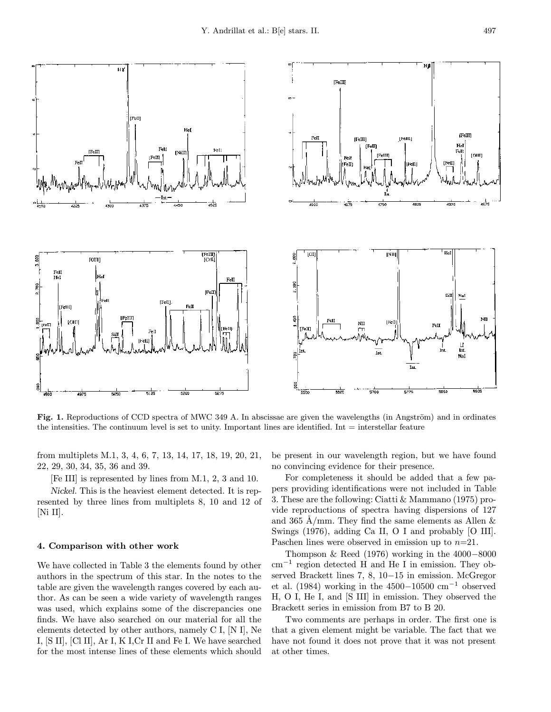

Fig. 1. Reproductions of CCD spectra of MWC 349 A. In abscissae are given the wavelengths (in Angström) and in ordinates the intensities. The continuum level is set to unity. Important lines are identified. Int  $=$  interstellar feature

from multiplets M.1, 3, 4, 6, 7, 13, 14, 17, 18, 19, 20, 21, 22, 29, 30, 34, 35, 36 and 39.

[Fe III] is represented by lines from M.1, 2, 3 and 10.

Nickel. This is the heaviest element detected. It is represented by three lines from multiplets 8, 10 and 12 of [Ni II].

# 4. Comparison with other work

We have collected in Table 3 the elements found by other authors in the spectrum of this star. In the notes to the table are given the wavelength ranges covered by each author. As can be seen a wide variety of wavelength ranges was used, which explains some of the discrepancies one finds. We have also searched on our material for all the elements detected by other authors, namely C I, [N I], Ne I, [S II], [Cl II], Ar I, K I,Cr II and Fe I. We have searched for the most intense lines of these elements which should be present in our wavelength region, but we have found no convincing evidence for their presence.

For completeness it should be added that a few papers providing identifications were not included in Table 3. These are the following: Ciatti & Mammano (1975) provide reproductions of spectra having dispersions of 127 and 365 Å/mm. They find the same elements as Allen  $\&$ Swings (1976), adding Ca II, O I and probably [O III]. Paschen lines were observed in emission up to  $n=21$ .

Thompson & Reed (1976) working in the 4000−8000 cm−<sup>1</sup> region detected H and He I in emission. They observed Brackett lines 7, 8, 10−15 in emission. McGregor et al. (1984) working in the 4500−10500 cm<sup>-1</sup> observed H, O I, He I, and [S III] in emission. They observed the Brackett series in emission from B7 to B 20.

Two comments are perhaps in order. The first one is that a given element might be variable. The fact that we have not found it does not prove that it was not present at other times.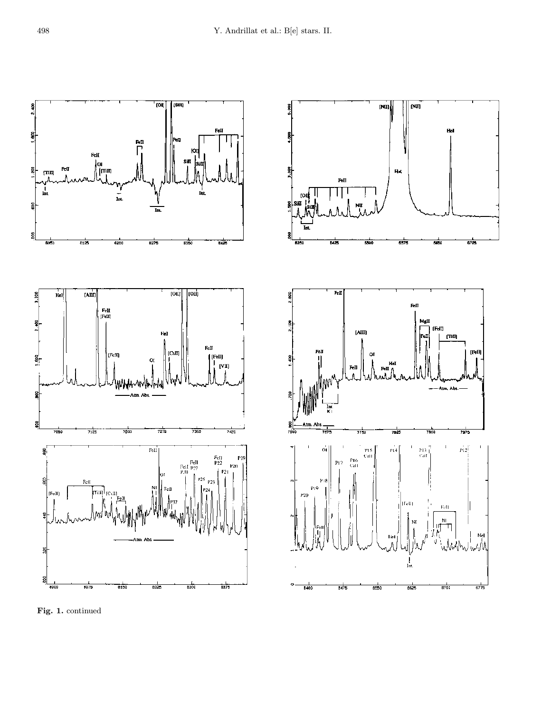

Fig. 1. continued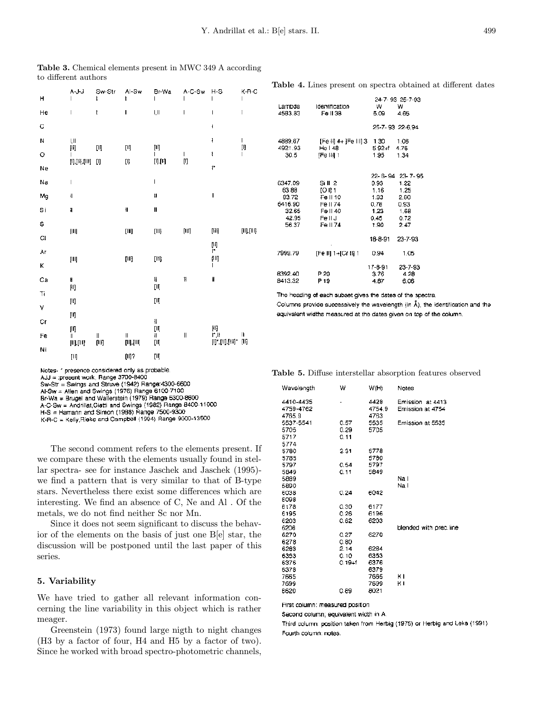| н           | A~J-J<br>I                                                                                                                                                                                                                                                                                                                                                                                                                                                                        | Sw-Str<br>ŧ                                                                                                                                                                                                                         | Al-5w<br>ŧ                                                                                                                                                        | Br-Wa<br>ı                                                                                                                                                                                                                                                                                                                                                                       | A-C-Sw        | $H-S$<br>L                                                                                                                                                                              | K-R-C<br>L                      |
|-------------|-----------------------------------------------------------------------------------------------------------------------------------------------------------------------------------------------------------------------------------------------------------------------------------------------------------------------------------------------------------------------------------------------------------------------------------------------------------------------------------|-------------------------------------------------------------------------------------------------------------------------------------------------------------------------------------------------------------------------------------|-------------------------------------------------------------------------------------------------------------------------------------------------------------------|----------------------------------------------------------------------------------------------------------------------------------------------------------------------------------------------------------------------------------------------------------------------------------------------------------------------------------------------------------------------------------|---------------|-----------------------------------------------------------------------------------------------------------------------------------------------------------------------------------------|---------------------------------|
| He          | I                                                                                                                                                                                                                                                                                                                                                                                                                                                                                 | ŧ                                                                                                                                                                                                                                   | ı                                                                                                                                                                 | I, II                                                                                                                                                                                                                                                                                                                                                                            | I             | I                                                                                                                                                                                       | 1                               |
| C           |                                                                                                                                                                                                                                                                                                                                                                                                                                                                                   |                                                                                                                                                                                                                                     |                                                                                                                                                                   |                                                                                                                                                                                                                                                                                                                                                                                  |               | ł                                                                                                                                                                                       |                                 |
| N           | I, II                                                                                                                                                                                                                                                                                                                                                                                                                                                                             |                                                                                                                                                                                                                                     |                                                                                                                                                                   |                                                                                                                                                                                                                                                                                                                                                                                  |               | ţ                                                                                                                                                                                       | L                               |
| Ō           | $[ \hspace{.1cm} \rule{.1cm}{.1cm} ]$<br>I                                                                                                                                                                                                                                                                                                                                                                                                                                        | ŢЛ                                                                                                                                                                                                                                  | [II]                                                                                                                                                              | $\begin{bmatrix} \mathbf{I} \end{bmatrix}$<br>ı                                                                                                                                                                                                                                                                                                                                  | L             | ł                                                                                                                                                                                       | [I]<br>                         |
| Ne          | $[1],[1],[11]\$                                                                                                                                                                                                                                                                                                                                                                                                                                                                   | $[] \centering \includegraphics[width=0.47\textwidth]{figs/fig_1002-100}}% \caption{The 3D (top) and the 4D (top) of the 3D (bottom) and the 4D (bottom) of the 3D (bottom) and the 4D (bottom) of the 3D (bottom).} \label{fig:1}$ | $[] \centering \includegraphics[width=0.47\textwidth]{images/TrDiM1.png} \caption{The 3D (blue) and 4D (blue) are shown in the left panel.} \label{TrDiM1.png}$   | [1],[4]                                                                                                                                                                                                                                                                                                                                                                          | [ľ]           | $1^{\star}$                                                                                                                                                                             |                                 |
| Na          | I                                                                                                                                                                                                                                                                                                                                                                                                                                                                                 |                                                                                                                                                                                                                                     |                                                                                                                                                                   | $\begin{array}{c} \rule{0pt}{2.5ex} \rule{0pt}{2.5ex} \rule{0pt}{2.5ex} \rule{0pt}{2.5ex} \rule{0pt}{2.5ex} \rule{0pt}{2.5ex} \rule{0pt}{2.5ex} \rule{0pt}{2.5ex} \rule{0pt}{2.5ex} \rule{0pt}{2.5ex} \rule{0pt}{2.5ex} \rule{0pt}{2.5ex} \rule{0pt}{2.5ex} \rule{0pt}{2.5ex} \rule{0pt}{2.5ex} \rule{0pt}{2.5ex} \rule{0pt}{2.5ex} \rule{0pt}{2.5ex} \rule{0pt}{2.5ex} \rule{0$ |               |                                                                                                                                                                                         |                                 |
| Mg          | $\mathbf{I}$                                                                                                                                                                                                                                                                                                                                                                                                                                                                      |                                                                                                                                                                                                                                     |                                                                                                                                                                   | ţ.                                                                                                                                                                                                                                                                                                                                                                               |               | $\parallel$                                                                                                                                                                             |                                 |
| Si          | II                                                                                                                                                                                                                                                                                                                                                                                                                                                                                |                                                                                                                                                                                                                                     | ∥                                                                                                                                                                 | H                                                                                                                                                                                                                                                                                                                                                                                |               |                                                                                                                                                                                         |                                 |
| s           |                                                                                                                                                                                                                                                                                                                                                                                                                                                                                   |                                                                                                                                                                                                                                     |                                                                                                                                                                   |                                                                                                                                                                                                                                                                                                                                                                                  |               |                                                                                                                                                                                         |                                 |
| $_{\rm C1}$ | $\begin{bmatrix} \vert \mathbf{H} \vert \end{bmatrix}$                                                                                                                                                                                                                                                                                                                                                                                                                            |                                                                                                                                                                                                                                     | $[   ] \centering% \includegraphics[width=1.0\textwidth]{Figures/PQ11.png} \caption{The 3D (blue) and 4D (blue) are shown in Fig.~\ref{fig:10}. } \label{fig:10}$ | [III]                                                                                                                                                                                                                                                                                                                                                                            | $[{\sf III}]$ | (III)                                                                                                                                                                                   | $[\mathsf{II}], [\mathsf{III}]$ |
| Ar          |                                                                                                                                                                                                                                                                                                                                                                                                                                                                                   |                                                                                                                                                                                                                                     |                                                                                                                                                                   |                                                                                                                                                                                                                                                                                                                                                                                  |               | 圓<br>ī۳                                                                                                                                                                                 |                                 |
| Κ           | $\begin{bmatrix} \text{III} \end{bmatrix}$                                                                                                                                                                                                                                                                                                                                                                                                                                        |                                                                                                                                                                                                                                     | [III]                                                                                                                                                             | [IH]                                                                                                                                                                                                                                                                                                                                                                             |               | ŢЩ<br>I                                                                                                                                                                                 |                                 |
| Ca          | H                                                                                                                                                                                                                                                                                                                                                                                                                                                                                 |                                                                                                                                                                                                                                     |                                                                                                                                                                   | H                                                                                                                                                                                                                                                                                                                                                                                | 11            | H                                                                                                                                                                                       |                                 |
| Ti          |                                                                                                                                                                                                                                                                                                                                                                                                                                                                                   |                                                                                                                                                                                                                                     |                                                                                                                                                                   | [II]                                                                                                                                                                                                                                                                                                                                                                             |               |                                                                                                                                                                                         |                                 |
| ٧           | $[ \vert \mathfrak{l} ]$                                                                                                                                                                                                                                                                                                                                                                                                                                                          |                                                                                                                                                                                                                                     |                                                                                                                                                                   | [II]                                                                                                                                                                                                                                                                                                                                                                             |               |                                                                                                                                                                                         |                                 |
| Сŗ          | [II]                                                                                                                                                                                                                                                                                                                                                                                                                                                                              |                                                                                                                                                                                                                                     |                                                                                                                                                                   | $\mathfrak{U}% _{T}=\mathfrak{U}_{T}\!\left( a,b\right) ,\ \mathfrak{U}_{T}=C_{T}\!\left( a,b\right) ,$                                                                                                                                                                                                                                                                          |               |                                                                                                                                                                                         |                                 |
| Fe          | (II)<br>$\sf II$                                                                                                                                                                                                                                                                                                                                                                                                                                                                  | II                                                                                                                                                                                                                                  | II                                                                                                                                                                | ŢŊ.<br>11                                                                                                                                                                                                                                                                                                                                                                        | $\parallel$   | $[11] \centering% \includegraphics[width=0.35\textwidth]{Figures/PQ11.png} \caption{The 3D (blue) and 4D (blue) are shown in Fig. \ref{fig:10}. } \label{fig:10}$<br>irin<br>Dirindinan | Ш                               |
| Ni          | [II],[III]                                                                                                                                                                                                                                                                                                                                                                                                                                                                        | $\left[ 0 l\right]$                                                                                                                                                                                                                 | $\left[ \Pi \right]$ , $\left[ \Pi \right]$                                                                                                                       | ŢŊ.                                                                                                                                                                                                                                                                                                                                                                              |               |                                                                                                                                                                                         | [II]                            |
|             | $[] \centering \includegraphics[width=0.47\textwidth]{figs/fig_10002} \caption{The 3D (blue) and the 4D (blue) are shown in Fig.~\ref{fig:10002} (a) and the 4D (blue) are shown in Fig.~\ref{fig:10002} (b) and the 4D (blue) are shown in Fig.~\ref{fig:10002} (c) and the 4D (blue) are shown in Fig.~\ref{fig:10002} (d) and the 4D (blue) are shown in Fig.~\ref{fig:10002} (e) and the 4D (blue) are shown in Fig.~\ref{fig:10002} (f) and the 4D (blue) are shown in Fig.$ |                                                                                                                                                                                                                                     | [II]?                                                                                                                                                             | [II]                                                                                                                                                                                                                                                                                                                                                                             |               |                                                                                                                                                                                         |                                 |

Table 3. Chemical elements present in MWC 349 A according to different authors

Notes- \* presence considered only as probable. AJJ = present work, Range 3700-8400 Sw-Str = Swings and Struve (1942) Range:4300-6600 Al-Sw  $\pm$  Allen and Swings (1976) Range 6100-7100 Br-Wa = Brugel and Wallerstein (1979) Range 5300-8600 A-C-Sw = Andrillat, Ciatti and Swings (1982) Range 8400-11000 H-S = Hamann and Simon (1988) Range 7500-9300

K-R-C = Kelly, Rieke and Campbell (1994) Range 9000-13500

The second comment refers to the elements present. If we compare these with the elements usually found in stellar spectra- see for instance Jaschek and Jaschek (1995) we find a pattern that is very similar to that of B-type stars. Nevertheless there exist some differences which are interesting. We find an absence of C, Ne and Al . Of the metals, we do not find neither Sc nor Mn.

Since it does not seem significant to discuss the behavior of the elements on the basis of just one B[e] star, the discussion will be postponed until the last paper of this series.

#### 5. Variability

We have tried to gather all relevant information concerning the line variability in this object which is rather meager.

Greenstein (1973) found large nigth to night changes (H3 by a factor of four, H4 and H5 by a factor of two). Since he worked with broad spectro-photometric channels,

| Lambda<br>4583.83                                               | Identification<br>Fe II 38                                                 | w<br>5.09                                                                 | 24-7-93 25-7-93<br>w<br>4.65                                      |
|-----------------------------------------------------------------|----------------------------------------------------------------------------|---------------------------------------------------------------------------|-------------------------------------------------------------------|
|                                                                 |                                                                            |                                                                           | 25-7-93 22-6.94                                                   |
| 4889.67<br>4921.93<br>30.5                                      | [Fe II] 4+ ]Fe III] 3 1.30 1.06<br>He   48<br>[Fe III] 1                   | $5.92 + f$ 4.76<br>1.95                                                   | 1.34                                                              |
| 6347.09<br>63.88<br>83.72<br>6416.90<br>32.65<br>42.95<br>56.37 | Sill 2<br>IO II 1<br>Fe II 10<br>Fe II 74<br>Fe II 40<br>FellJ<br>Fe II 74 | 0.93<br>1.16 1.25<br>1.93<br>0.78<br>1.23 1.68<br>0.45<br>1.90<br>18-8-91 | 22-6-94 23-7-95<br>1.22<br>2.60<br>0.93<br>0.72<br>247<br>23-7-93 |
| 7999.79                                                         | [Fe II] 1+[Cr II] 1                                                        | 0.94                                                                      | 1.05                                                              |
| 8392.40<br>8413.32                                              | P 20<br>P 19                                                               | 17-8-91<br>3.76<br>4.87                                                   | 23-7-93<br>4.28<br>6.06                                           |

The heading of each subset gives the dates of the spectra. Columns provide successively the wavelength (in  $\tilde{A}$ ), the identification and the equivalent widths measured at the dates given on top of the column.

Table 4. Lines present on spectra obtained at different dates

Table 5. Diffuse interstellar absorption features observed

| Wavelength | w          | W(H)   | Notes                  |
|------------|------------|--------|------------------------|
| 4410-4435  |            | 4428   | Emission at 4413       |
| 4759-4762  |            | 4754.9 | Emission at 4754       |
| 4765.9     |            | 4763   |                        |
| 5537-5541  | 0.57       | 5535   | Emission at 5535       |
| 5705       | 0.29       | 5705   |                        |
| 5717       | 0.11       |        |                        |
| 5774       |            |        |                        |
| 5780       | 2.31       | 5778   |                        |
| 5785       |            | 5780   |                        |
| 5797       | 0.54       | 5797   |                        |
| 5849       | 0.11       | 5849   |                        |
| 5889       |            |        | Na I                   |
| 5890       |            |        | Na I                   |
| 6038       | 0.24       | 6042   |                        |
| 6098       |            |        |                        |
| 6178       | 0.30       | 6177   |                        |
| 6195       | 0.26       | 6196   |                        |
| 6203       | 0.82       | 6203   |                        |
| 6206       |            |        | blended with prec.line |
| 6270       | 0.27       | 6270   |                        |
| 6278       | 0.80       |        |                        |
| 6283       | 2.14       | 6284   |                        |
| 6353       | 0.10       | 6353   |                        |
| 6376       | $0.19 + f$ | 6376   |                        |
| 6378       |            | 6379   |                        |
| 7665       |            | 7665   | ĸ١                     |
| 7699       |            | 7699   | ĸ١                     |
| 8620       | 0.89       | 8021   |                        |
|            |            |        |                        |

First column: measured position

Second column; equivalent width in A.

Third column: position taken from Herbig (1975) or Herbig and Leka (1991) Fourth column: notes.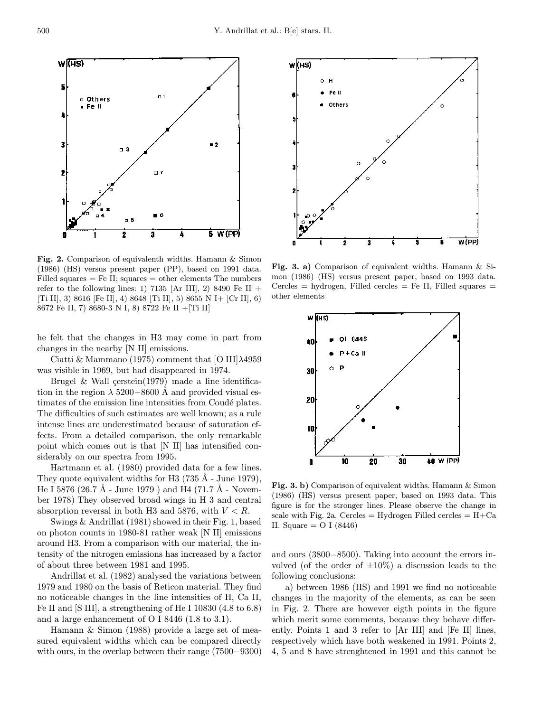

Fig. 2. Comparison of equivalenth widths. Hamann & Simon (1986) (HS) versus present paper (PP), based on 1991 data. Filled squares  $=$  Fe II; squares  $=$  other elements The numbers refer to the following lines: 1) 7135 [Ar III], 2) 8490 Fe II + [Ti II], 3) 8616 [Fe II], 4) 8648 [Ti II], 5) 8655 N I+ [Cr II], 6) 8672 Fe II, 7) 8680-3 N I, 8) 8722 Fe II +[Ti II]

he felt that the changes in H3 may come in part from changes in the nearby [N II] emissions.

Ciatti & Mammano (1975) comment that [O III] $\lambda$ 4959 was visible in 1969, but had disappeared in 1974.

Brugel & Wall  $\text{cerstein}(1979)$  made a line identification in the region  $\lambda$  5200–8600 Å and provided visual estimates of the emission line intensities from Coudé plates. The difficulties of such estimates are well known; as a rule intense lines are underestimated because of saturation effects. From a detailed comparison, the only remarkable point which comes out is that [N II] has intensified considerably on our spectra from 1995.

Hartmann et al. (1980) provided data for a few lines. They quote equivalent widths for H3  $(735 \text{ Å} - \text{June } 1979)$ , He I 5876 (26.7 Å - June 1979) and H4 (71.7 Å - November 1978) They observed broad wings in H 3 and central absorption reversal in both H3 and 5876, with  $V < R$ .

Swings & Andrillat (1981) showed in their Fig. 1, based on photon counts in 1980-81 rather weak [N II] emissions around H3. From a comparison with our material, the intensity of the nitrogen emissions has increased by a factor of about three between 1981 and 1995.

Andrillat et al. (1982) analysed the variations between 1979 and 1980 on the basis of Reticon material. They find no noticeable changes in the line intensities of H, Ca II, Fe II and [S III], a strengthening of He I 10830 (4.8 to 6.8) and a large enhancement of O I 8446 (1.8 to 3.1).

Hamann & Simon (1988) provide a large set of measured equivalent widths which can be compared directly with ours, in the overlap between their range (7500−9300)



Fig. 3. a) Comparison of equivalent widths. Hamann & Simon (1986) (HS) versus present paper, based on 1993 data.  $Cercles = hydrogen$ , Filled cercles  $=$  Fe II, Filled squares  $=$ other elements



Fig. 3. b) Comparison of equivalent widths. Hamann & Simon (1986) (HS) versus present paper, based on 1993 data. This figure is for the stronger lines. Please observe the change in scale with Fig. 2a. Cercles = Hydrogen Filled cercles =  $H + Ca$ II. Square  $=$  O I (8446)

and ours (3800−8500). Taking into account the errors involved (of the order of  $\pm 10\%$ ) a discussion leads to the following conclusions:

a) between 1986 (HS) and 1991 we find no noticeable changes in the majority of the elements, as can be seen in Fig. 2. There are however eigth points in the figure which merit some comments, because they behave differently. Points 1 and 3 refer to [Ar III] and [Fe II] lines, respectively which have both weakened in 1991. Points 2, 4, 5 and 8 have strenghtened in 1991 and this cannot be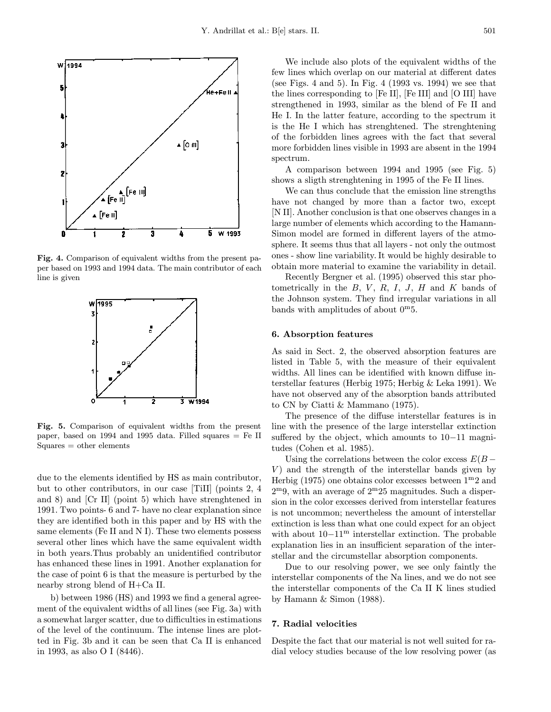

Fig. 4. Comparison of equivalent widths from the present paper based on 1993 and 1994 data. The main contributor of each line is given



Fig. 5. Comparison of equivalent widths from the present paper, based on 1994 and 1995 data. Filled squares = Fe II Squares = other elements

due to the elements identified by HS as main contributor, but to other contributors, in our case [TiII] (points 2, 4 and 8) and [Cr II] (point 5) which have strenghtened in 1991. Two points- 6 and 7- have no clear explanation since they are identified both in this paper and by HS with the same elements (Fe II and N I). These two elements possess several other lines which have the same equivalent width in both years.Thus probably an unidentified contributor has enhanced these lines in 1991. Another explanation for the case of point 6 is that the measure is perturbed by the nearby strong blend of H+Ca II.

b) between 1986 (HS) and 1993 we find a general agreement of the equivalent widths of all lines (see Fig. 3a) with a somewhat larger scatter, due to difficulties in estimations of the level of the continuum. The intense lines are plotted in Fig. 3b and it can be seen that Ca II is enhanced in 1993, as also O I (8446).

We include also plots of the equivalent widths of the few lines which overlap on our material at different dates (see Figs. 4 and 5). In Fig. 4 (1993 vs. 1994) we see that the lines corresponding to [Fe II], [Fe III] and [O III] have strengthened in 1993, similar as the blend of Fe II and He I. In the latter feature, according to the spectrum it is the He I which has strenghtened. The strenghtening of the forbidden lines agrees with the fact that several more forbidden lines visible in 1993 are absent in the 1994 spectrum.

A comparison between 1994 and 1995 (see Fig. 5) shows a sligth strenghtening in 1995 of the Fe II lines.

We can thus conclude that the emission line strengths have not changed by more than a factor two, except [N II]. Another conclusion is that one observes changes in a large number of elements which according to the Hamann-Simon model are formed in different layers of the atmosphere. It seems thus that all layers - not only the outmost ones - show line variability. It would be highly desirable to obtain more material to examine the variability in detail.

Recently Bergner et al. (1995) observed this star photometrically in the  $B, V, R, I, J, H$  and  $K$  bands of the Johnson system. They find irregular variations in all bands with amplitudes of about  $0^{\mathrm{m}}5$ .

#### 6. Absorption features

As said in Sect. 2, the observed absorption features are listed in Table 5, with the measure of their equivalent widths. All lines can be identified with known diffuse interstellar features (Herbig 1975; Herbig & Leka 1991). We have not observed any of the absorption bands attributed to CN by Ciatti & Mammano (1975).

The presence of the diffuse interstellar features is in line with the presence of the large interstellar extinction suffered by the object, which amounts to 10−11 magnitudes (Cohen et al. 1985).

Using the correlations between the color excess  $E(B V$ ) and the strength of the interstellar bands given by Herbig (1975) one obtains color excesses between  $1^{\rm m}2$  and  $2^{\rm m}$ 9, with an average of  $2^{\rm m}25$  magnitudes. Such a dispersion in the color excesses derived from interstellar features is not uncommon; nevertheless the amount of interstellar extinction is less than what one could expect for an object with about 10−11<sup>m</sup> interstellar extinction. The probable explanation lies in an insufficient separation of the interstellar and the circumstellar absorption components.

Due to our resolving power, we see only faintly the interstellar components of the Na lines, and we do not see the interstellar components of the Ca II K lines studied by Hamann  $\&$  Simon (1988).

# 7. Radial velocities

Despite the fact that our material is not well suited for radial velocy studies because of the low resolving power (as